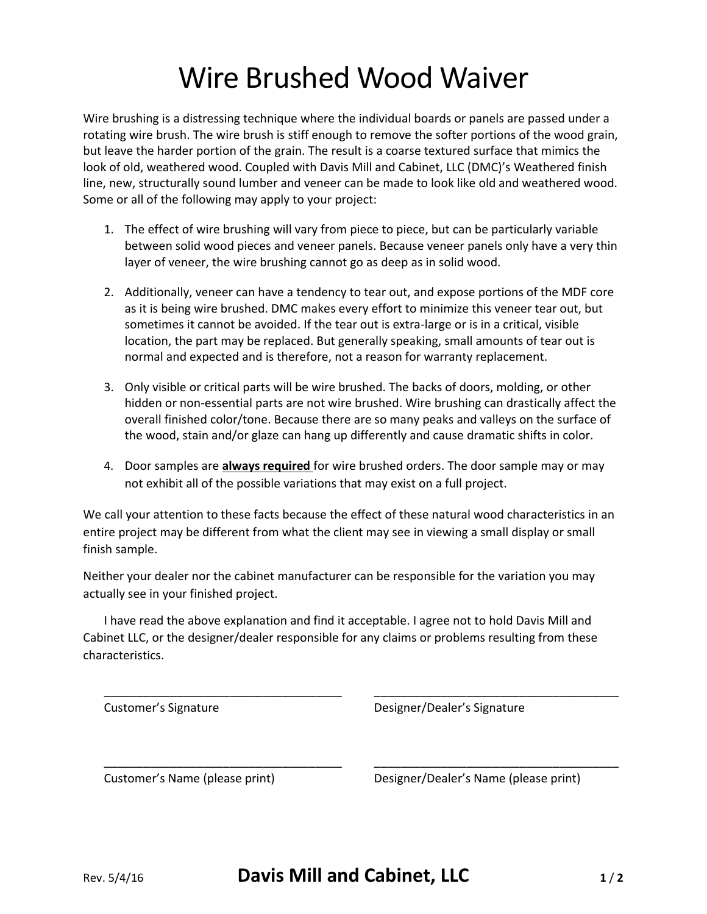## Wire Brushed Wood Waiver

Wire brushing is a distressing technique where the individual boards or panels are passed under a rotating wire brush. The wire brush is stiff enough to remove the softer portions of the wood grain, but leave the harder portion of the grain. The result is a coarse textured surface that mimics the look of old, weathered wood. Coupled with Davis Mill and Cabinet, LLC (DMC)'s Weathered finish line, new, structurally sound lumber and veneer can be made to look like old and weathered wood. Some or all of the following may apply to your project:

- 1. The effect of wire brushing will vary from piece to piece, but can be particularly variable between solid wood pieces and veneer panels. Because veneer panels only have a very thin layer of veneer, the wire brushing cannot go as deep as in solid wood.
- 2. Additionally, veneer can have a tendency to tear out, and expose portions of the MDF core as it is being wire brushed. DMC makes every effort to minimize this veneer tear out, but sometimes it cannot be avoided. If the tear out is extra-large or is in a critical, visible location, the part may be replaced. But generally speaking, small amounts of tear out is normal and expected and is therefore, not a reason for warranty replacement.
- 3. Only visible or critical parts will be wire brushed. The backs of doors, molding, or other hidden or non-essential parts are not wire brushed. Wire brushing can drastically affect the overall finished color/tone. Because there are so many peaks and valleys on the surface of the wood, stain and/or glaze can hang up differently and cause dramatic shifts in color.
- 4. Door samples are **always required** for wire brushed orders. The door sample may or may not exhibit all of the possible variations that may exist on a full project.

We call your attention to these facts because the effect of these natural wood characteristics in an entire project may be different from what the client may see in viewing a small display or small finish sample.

Neither your dealer nor the cabinet manufacturer can be responsible for the variation you may actually see in your finished project.

I have read the above explanation and find it acceptable. I agree not to hold Davis Mill and Cabinet LLC, or the designer/dealer responsible for any claims or problems resulting from these characteristics.

| Customer's Signature | Designer/Dealer's Signature |  |
|----------------------|-----------------------------|--|

Customer's Name (please print) Designer/Dealer's Name (please print)

\_\_\_\_\_\_\_\_\_\_\_\_\_\_\_\_\_\_\_\_\_\_\_\_\_\_\_\_\_\_\_\_\_\_\_\_ \_\_\_\_\_\_\_\_\_\_\_\_\_\_\_\_\_\_\_\_\_\_\_\_\_\_\_\_\_\_\_\_\_\_\_\_\_